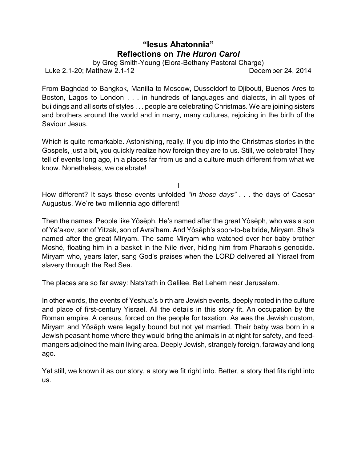## **"Iesus Ahatonnia" Reflections on** *The Huron Carol*

by Greg Smith-Young (Elora-Bethany Pastoral Charge)

Luke 2.1-20; Matthew 2.1-12 Decem ber 24, 2014

From Baghdad to Bangkok, Manilla to Moscow, Dusseldorf to Djibouti, Buenos Ares to Boston, Lagos to London . . . in hundreds of languages and dialects, in all types of buildings and all sorts of styles . . . people are celebrating Christmas. We are joining sisters and brothers around the world and in many, many cultures, rejoicing in the birth of the Saviour Jesus.

Which is quite remarkable. Astonishing, really. If you dip into the Christmas stories in the Gospels, just a bit, you quickly realize how foreign they are to us. Still, we celebrate! They tell of events long ago, in a places far from us and a culture much different from what we know. Nonetheless, we celebrate!

How different? It says these events unfolded *"In those days"* . . . the days of Caesar Augustus. We're two millennia ago different!

I

Then the names. People like Yôsēph. He's named after the great Yôsēph, who was a son of Ya'akov, son of Yitzak, son of Avra'ham. And Yôsçph's soon-to-be bride, Miryam. She's named after the great Miryam. The same Miryam who watched over her baby brother Moshé, floating him in a basket in the Nile river, hiding him from Pharaoh's genocide. Miryam who, years later, sang God's praises when the LORD delivered all Yisrael from slavery through the Red Sea.

The places are so far away: Nats'rath in Galilee. Bet Lehem near Jerusalem.

In other words, the events of Yeshua's birth are Jewish events, deeply rooted in the culture and place of first-century Yisrael. All the details in this story fit. An occupation by the Roman empire. A census, forced on the people for taxation. As was the Jewish custom, Miryam and Yôsçph were legally bound but not yet married. Their baby was born in a Jewish peasant home where they would bring the animals in at night for safety, and feedmangers adjoined the main living area. Deeply Jewish, strangely foreign, faraway and long ago.

Yet still, we known it as our story, a story we fit right into. Better, a story that fits right into us.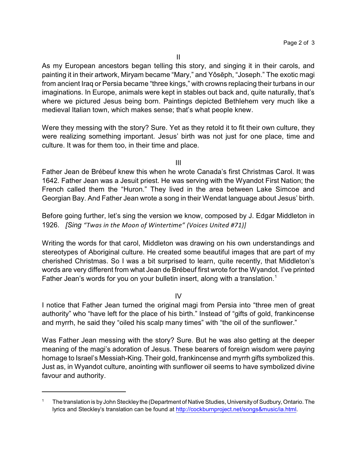As my European ancestors began telling this story, and singing it in their carols, and painting it in their artwork, Miryam became "Mary," and Yôsçph, "Joseph." The exotic magi from ancient Iraq or Persia became "three kings," with crowns replacing their turbans in our imaginations. In Europe, animals were kept in stables out back and, quite naturally, that's where we pictured Jesus being born. Paintings depicted Bethlehem very much like a medieval Italian town, which makes sense; that's what people knew.

Were they messing with the story? Sure. Yet as they retold it to fit their own culture, they were realizing something important. Jesus' birth was not just for one place, time and culture. It was for them too, in their time and place.

III

Father Jean de Brébeuf knew this when he wrote Canada's first Christmas Carol. It was 1642. Father Jean was a Jesuit priest. He was serving with the Wyandot First Nation; the French called them the "Huron." They lived in the area between Lake Simcoe and Georgian Bay. And Father Jean wrote a song in their Wendat language about Jesus' birth.

Before going further, let's sing the version we know, composed by J. Edgar Middleton in 1926. *[Sing "Twas in the Moon of Wintertime" (Voices United #71)]*

Writing the words for that carol, Middleton was drawing on his own understandings and stereotypes of Aboriginal culture. He created some beautiful images that are part of my cherished Christmas. So I was a bit surprised to learn, quite recently, that Middleton's words are very different from what Jean de Brébeuf first wrote for the Wyandot. I've printed Father Jean's words for you on your bulletin insert, along with a translation.<sup>1</sup>

IV

I notice that Father Jean turned the original magi from Persia into "three men of great authority" who "have left for the place of his birth." Instead of "gifts of gold, frankincense and myrrh, he said they "oiled his scalp many times" with "the oil of the sunflower."

Was Father Jean messing with the story? Sure. But he was also getting at the deeper meaning of the magi's adoration of Jesus. These bearers of foreign wisdom were paying homage to Israel's Messiah-King. Their gold, frankincense and myrrh gifts symbolized this. Just as, in Wyandot culture, anointing with sunflower oil seems to have symbolized divine favour and authority.

<sup>1</sup> The translation is by John Steckley the (Department of Native Studies, Universityof Sudbury, Ontario. The lyrics and Steckley's translation can be found at<http://cockburnproject.net/songs&music/ia.html>.